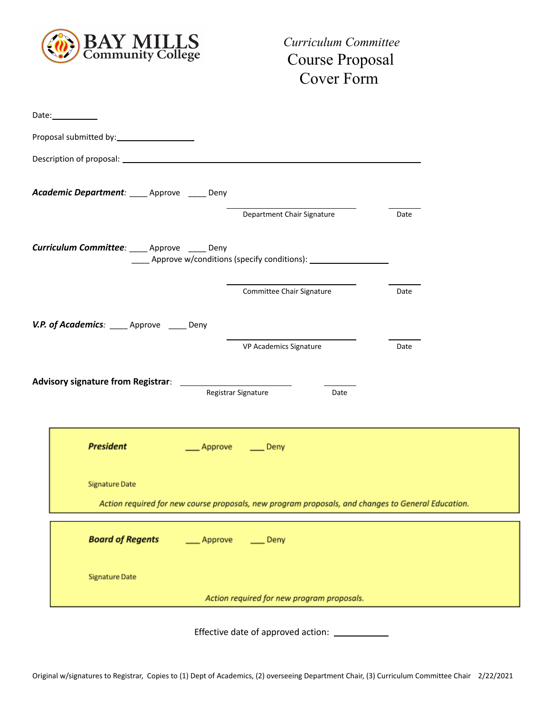

*Curriculum Committee* Course Proposal Cover Form

| Date:_________                                |                                                                                                    |      |
|-----------------------------------------------|----------------------------------------------------------------------------------------------------|------|
| Proposal submitted by: ______________________ |                                                                                                    |      |
|                                               |                                                                                                    |      |
| Academic Department: ____ Approve ____ Deny   |                                                                                                    |      |
|                                               | Department Chair Signature                                                                         | Date |
| Curriculum Committee: ____ Approve ____ Deny  | _____ Approve w/conditions (specify conditions): _______________________________                   |      |
|                                               | Committee Chair Signature                                                                          | Date |
| V.P. of Academics: Approve Deny               |                                                                                                    |      |
|                                               | VP Academics Signature                                                                             | Date |
|                                               |                                                                                                    |      |
|                                               | Registrar Signature<br>Date                                                                        |      |
| <b>President</b>                              | Approve<br>$\rule{1em}{0.15mm}$ Deny                                                               |      |
| <b>Signature Date</b>                         | Action required for new course proposals, new program proposals, and changes to General Education. |      |
|                                               |                                                                                                    |      |
| <b>Board of Regents</b>                       | Approve<br>$\rule{1em}{0.15mm}$ Deny                                                               |      |
| <b>Signature Date</b>                         |                                                                                                    |      |
|                                               | Action required for new program proposals.                                                         |      |
|                                               |                                                                                                    |      |

Effective date of approved action: \_\_\_\_\_\_\_\_\_\_\_\_\_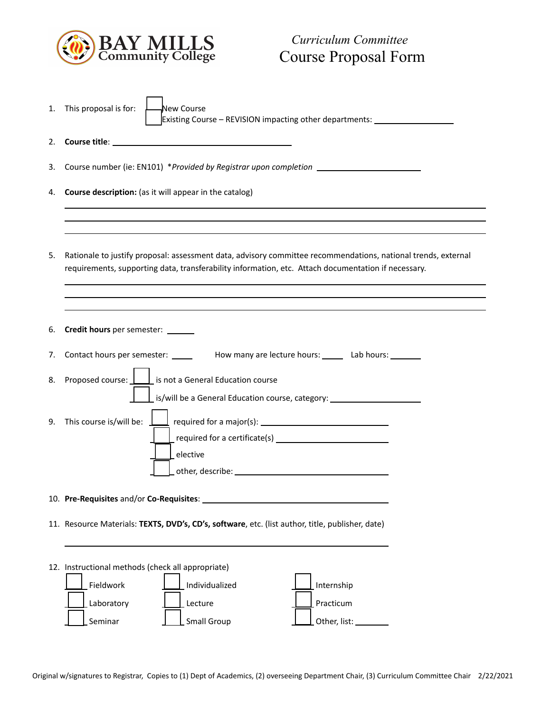

| 1. | This proposal is for:<br>New Course<br>Existing Course – REVISION impacting other departments: __________________                                                                                                    |  |  |  |
|----|----------------------------------------------------------------------------------------------------------------------------------------------------------------------------------------------------------------------|--|--|--|
| 2. |                                                                                                                                                                                                                      |  |  |  |
| 3. | Course number (ie: EN101) *Provided by Registrar upon completion _______________                                                                                                                                     |  |  |  |
| 4. | <b>Course description:</b> (as it will appear in the catalog)                                                                                                                                                        |  |  |  |
|    |                                                                                                                                                                                                                      |  |  |  |
| 5. | Rationale to justify proposal: assessment data, advisory committee recommendations, national trends, external<br>requirements, supporting data, transferability information, etc. Attach documentation if necessary. |  |  |  |
| 6. | Credit hours per semester: ______                                                                                                                                                                                    |  |  |  |
| 7. | Contact hours per semester: _______ How many are lecture hours: ______ Lab hours: ______                                                                                                                             |  |  |  |
| 8. | Proposed course: $\boxed{\underline{\qquad}}$ is not a General Education course                                                                                                                                      |  |  |  |
|    | L is/will be a General Education course, category: _____________________________                                                                                                                                     |  |  |  |
| 9. | This course is/will be:                                                                                                                                                                                              |  |  |  |
|    | required for a certificate(s) $\overline{\phantom{a}}$<br>elective                                                                                                                                                   |  |  |  |
|    |                                                                                                                                                                                                                      |  |  |  |
|    | 10. Pre-Requisites and/or Co-Requisites:                                                                                                                                                                             |  |  |  |
|    | 11. Resource Materials: TEXTS, DVD's, CD's, software, etc. (list author, title, publisher, date)                                                                                                                     |  |  |  |
|    |                                                                                                                                                                                                                      |  |  |  |
|    | 12. Instructional methods (check all appropriate)                                                                                                                                                                    |  |  |  |
|    | Internship<br>Fieldwork<br>Individualized                                                                                                                                                                            |  |  |  |
|    | Laboratory<br>Practicum<br>Lecture                                                                                                                                                                                   |  |  |  |
|    | Small Group<br>Seminar<br>Other, list:                                                                                                                                                                               |  |  |  |